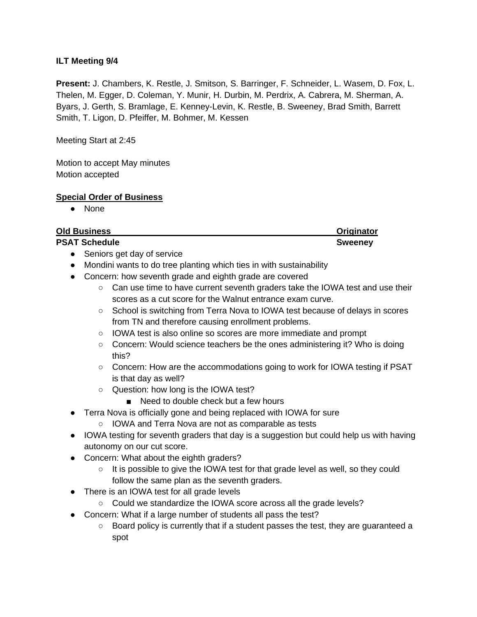## **ILT Meeting 9/4**

**Present:** J. Chambers, K. Restle, J. Smitson, S. Barringer, F. Schneider, L. Wasem, D. Fox, L. Thelen, M. Egger, D. Coleman, Y. Munir, H. Durbin, M. Perdrix, A. Cabrera, M. Sherman, A. Byars, J. Gerth, S. Bramlage, E. Kenney-Levin, K. Restle, B. Sweeney, Brad Smith, Barrett Smith, T. Ligon, D. Pfeiffer, M. Bohmer, M. Kessen

Meeting Start at 2:45

Motion to accept May minutes Motion accepted

#### **Special Order of Business**

● None

| <b>Old Business</b>                                                                                  | <b>Originator</b> |
|------------------------------------------------------------------------------------------------------|-------------------|
| <b>PSAT Schedule</b>                                                                                 | <b>Sweeney</b>    |
| Seniors get day of service                                                                           |                   |
| Mondini wants to do tree planting which ties in with sustainability<br>$\bullet$                     |                   |
| Concern: how seventh grade and eighth grade are covered                                              |                   |
| Can use time to have current seventh graders take the IOWA test and use their<br>$\circ$             |                   |
| scores as a cut score for the Walnut entrance exam curve.                                            |                   |
| School is switching from Terra Nova to IOWA test because of delays in scores<br>$\circ$              |                   |
| from TN and therefore causing enrollment problems.                                                   |                   |
| IOWA test is also online so scores are more immediate and prompt<br>$\circ$                          |                   |
| Concern: Would science teachers be the ones administering it? Who is doing<br>$\circ$                |                   |
| this?                                                                                                |                   |
| Concern: How are the accommodations going to work for IOWA testing if PSAT<br>$\circ$                |                   |
| is that day as well?                                                                                 |                   |
| Question: how long is the IOWA test?<br>$\circ$                                                      |                   |
| Need to double check but a few hours                                                                 |                   |
| Terra Nova is officially gone and being replaced with IOWA for sure                                  |                   |
| IOWA and Terra Nova are not as comparable as tests<br>$\circ$                                        |                   |
| IOWA testing for seventh graders that day is a suggestion but could help us with having<br>$\bullet$ |                   |
| autonomy on our cut score.                                                                           |                   |
| Concern: What about the eighth graders?                                                              |                   |
| It is possible to give the IOWA test for that grade level as well, so they could<br>$\circ$          |                   |
| follow the same plan as the seventh graders.                                                         |                   |
| There is an IOWA test for all grade levels                                                           |                   |
| Could we standardize the IOWA score across all the grade levels?                                     |                   |
| Concern: What if a large number of students all pass the test?                                       |                   |

○ Board policy is currently that if a student passes the test, they are guaranteed a spot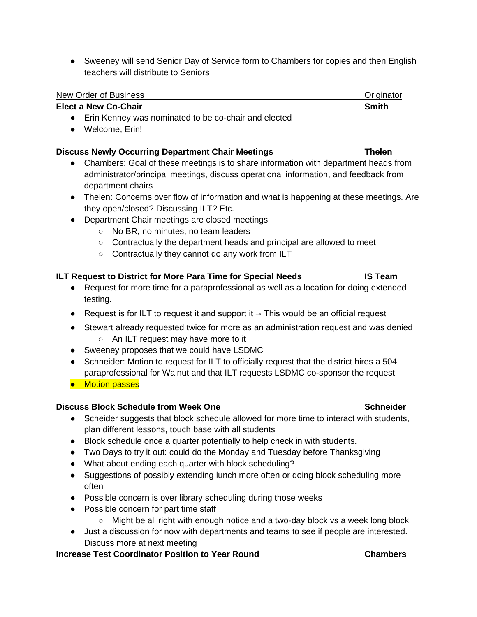• Sweeney will send Senior Day of Service form to Chambers for copies and then English teachers will distribute to Seniors

# New Order of Business **New Order of Business** Community Control of Business Community Community Community Community Community Community Community Community Community Community Community Community Community Community Commun

### **Elect a New Co-Chair Smith** Smith

- Erin Kenney was nominated to be co-chair and elected
- Welcome, Erin!

### **Discuss Newly Occurring Department Chair Meetings Thelen**

- Chambers: Goal of these meetings is to share information with department heads from administrator/principal meetings, discuss operational information, and feedback from department chairs
- Thelen: Concerns over flow of information and what is happening at these meetings. Are they open/closed? Discussing ILT? Etc.
- Department Chair meetings are closed meetings
	- No BR, no minutes, no team leaders
	- Contractually the department heads and principal are allowed to meet
	- Contractually they cannot do any work from ILT

# **ILT Request to District for More Para Time for Special Needs IS Team**

- Request for more time for a paraprofessional as well as a location for doing extended testing.
- Request is for ILT to request it and support it  $\rightarrow$  This would be an official request
- Stewart already requested twice for more as an administration request and was denied ○ An ILT request may have more to it
- Sweeney proposes that we could have LSDMC
- Schneider: Motion to request for ILT to officially request that the district hires a 504 paraprofessional for Walnut and that ILT requests LSDMC co-sponsor the request
- Motion passes

# **Discuss Block Schedule from Week One Schneider Schneider Schneider**

- Scheider suggests that block schedule allowed for more time to interact with students, plan different lessons, touch base with all students
- Block schedule once a quarter potentially to help check in with students.
- Two Days to try it out: could do the Monday and Tuesday before Thanksgiving
- What about ending each quarter with block scheduling?
- Suggestions of possibly extending lunch more often or doing block scheduling more often
- Possible concern is over library scheduling during those weeks
- Possible concern for part time staff
	- Might be all right with enough notice and a two-day block vs a week long block
- Just a discussion for now with departments and teams to see if people are interested. Discuss more at next meeting

# **Increase Test Coordinator Position to Year Round Chambers**